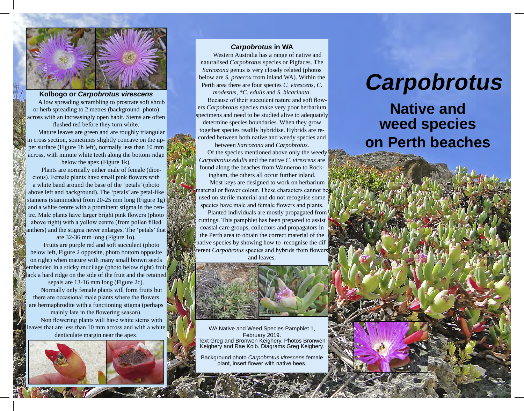

**Kolbogo or** *Carpobrotus virescens*  A low spreading scrambling to prostrate soft shrub or herb spreading to 2 metres (background photo) across with an increasingly open habit. Stems are often flushed red before they turn white.

Mature leaves are green and are roughly triangular in cross section, sometimes slightly concave on the upper surface (Figure 1h left), normally less than 10 mm across, with minute white teeth along the bottom ridge

below the apex (Figure 1k). Plants are normally either male of female (dioecious). Female plants have small pink flowers with a white band around the base of the 'petals' (photo above left and background). The 'petals' are petal-like stamens (staminodes) from 20-25 mm long (Figure 1g) and a white centre with a prominent stigma in the centre. Male plants have larger bright pink flowers (photo above right) with a yellow centre (from pollen filled anthers) and the stigma never enlarges. The 'petals' that

are 32-36 mm long (Figure 1o).

Fruits are purple red and soft succulent (photo below left, Figure 2 opposite, photo bottom opposite on right) when mature with many small brown seeds embedded in a sticky mucilage (photo below right) fruit lack a hard ridge on the side of the fruit and the retained

sepals are 13-16 mm long (Figure 2c). Normally only female plants will form fruits but there are occasional male plants where the flowers are hermaphrodite with a functioning stigma (perhaps mainly late in the flowering season). Non flowering plants will have white stems with leaves that are less than 10 mm across and with a white denticulate margin near the apex.



## *Carpobrotus* **in WA**

Western Australia has a range of native and naturalised *Carpobrotus* species or Pigfaces. The *Sarcozona* genus is very closely related (photos below are *S. praecox* from inland WA). Within the Perth area there are four species *C. virescens, C.* 

*modestus, \*C. edulis* and *S. bicarinata*. Because of their succulent nature and soft flowers *Carpobrotus* species make very poor herbarium specimens and need to be studied alive to adequately determine species boundaries. When they grow together species readily hybridise. Hybrids are recorded between both native and weedy species and

between *Sarcozona* and *Carpobrotus*. Of the species mentioned above only the weedy *Carpobrotus edulis* and the native *C. virescens* are found along the beaches from Wanneroo to Rock-

ingham, the others all occur further inland.

Most keys are designed to work on herbarium material or flower colour. These characters cannot be used on sterile material and do not recognise some species have male and female flowers and plants.

Planted individuals are mostly propagated from cuttings. This pamphlet has been prepared to assist coastal care groups, collectors and propagators in the Perth area to obtain the correct material of the native species by showing how to recognise the different *Carpobrotus* species and hybrids from flowers

and leaves.



WA Native and Weed Species Pamphlet 1, February 2019. Text Greg and Bronwen Keighery. Photos Bronwen Keighery and Rae Kolb. Diagrams Greg Keighery.

Background photo *Carpobrotus virescens* female plant, insert flower with native bees.

## **Carpobrotus**

## **Native and weed species on Perth beaches**